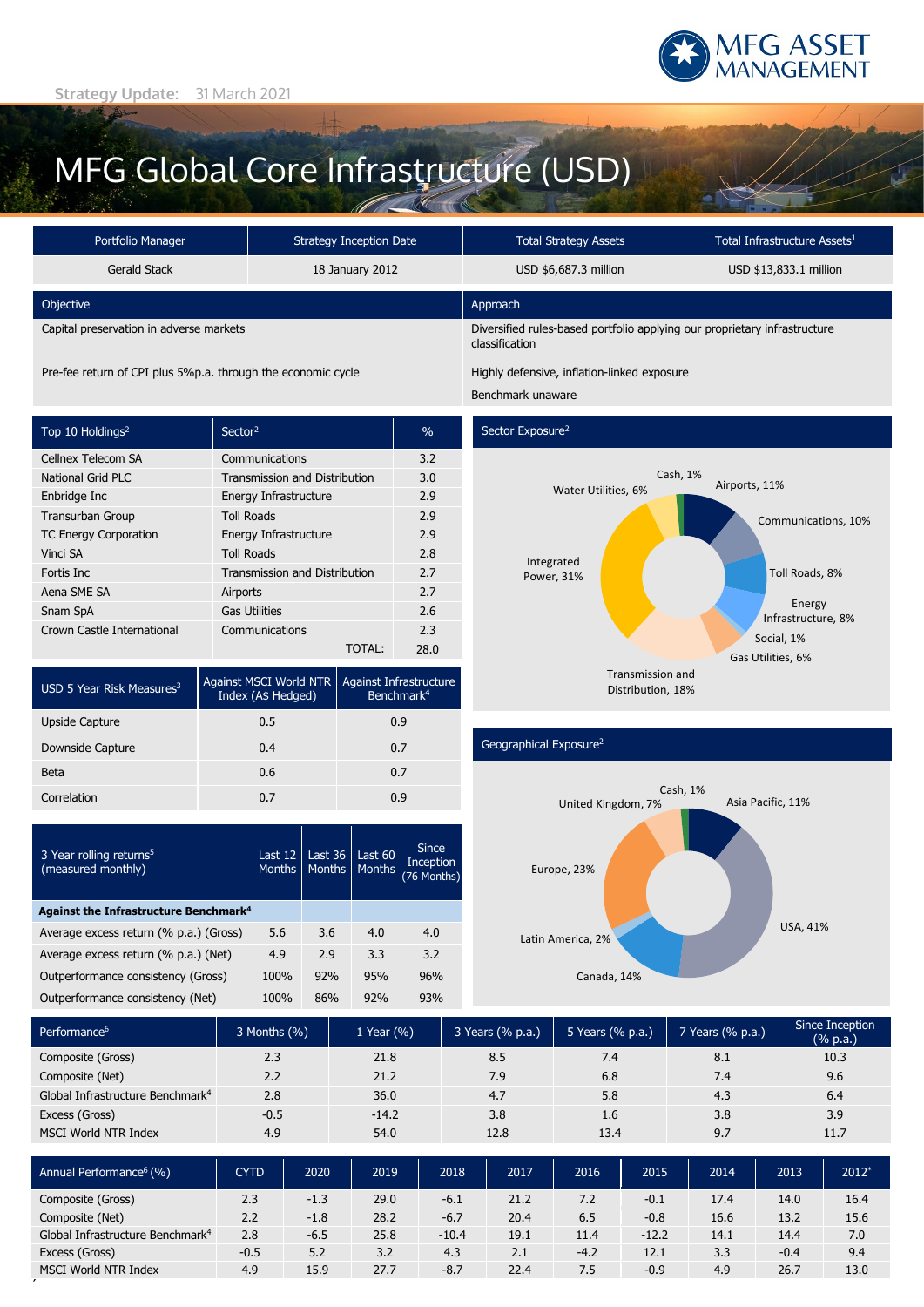

# MFG Global Core Infrastructure (USD)

TOTAL: 28.0

Against Infrastructure Benchmark4

| Portfolio Manager                       | Strategy Inception Date | <b>Total Strategy Assets</b>                                                                | Total Infrastructure Assets <sup>1</sup> |  |  |  |
|-----------------------------------------|-------------------------|---------------------------------------------------------------------------------------------|------------------------------------------|--|--|--|
| Gerald Stack                            | 18 January 2012         | USD \$6,687.3 million                                                                       | USD \$13,833.1 million                   |  |  |  |
| Objective                               |                         | Approach                                                                                    |                                          |  |  |  |
| Capital preservation in adverse markets |                         | Diversified rules-based portfolio applying our proprietary infrastructure<br>classification |                                          |  |  |  |

Pre-fee return of CPI plus 5%p.a. through the economic cycle Highly defensive, inflation-linked exposure

USD 5 Year Risk Measures<sup>3</sup> Against MSCI World NTR

3 Year rolling returns<sup>5</sup> (measured monthly)

 **Against the Infrastructure Benchmark<sup>4</sup>**

Upside Capture **0.5** 0.9 Downside Capture 0.4 0.7 Beta 0.6 0.7 Correlation 0.7 0.9

Top 10 Holdings<sup>2</sup> Sector<sup>2</sup> Sector<sup>2</sup> 5 Sector<sup>2</sup> Cellnex Telecom SA Communications 3.2 National Grid PLC Transmission and Distribution 3.0 Enbridge Inc **Energy Infrastructure** 2.9 **Transurban Group Toll Roads** 2.9 TC Energy Corporation Energy Infrastructure 2.9 Vinci SA Toll Roads 2.8 Fortis Inc **Transmission and Distribution** 2.7 Aena SME SA **Airports** 2.7 Snam SpA Gas Utilities 2.6 Crown Castle International Communications 2.3

Index (A\$ Hedged)

Last 12 **Months** 

Average excess return (% p.a.) (Gross) 5.6 3.6 4.0 4.0 Average excess return (% p.a.) (Net) 4.9 2.9 3.3 3.2 Outperformance consistency (Gross) 100% 92% 95% 96% Outperformance consistency (Net) 100% 86% 92% 93%

Last 36 **Months**  Last 60 **Months** 

Since Inception (76 Months)

Benchmark unaware

### Sector Exposure<sup>2</sup>



### Geographical Exposure2



| Performance <sup>6</sup>                     | 3 Months (%) | 1 Year $(\% )$ | 3 Years (% p.a.) | 5 Years (% p.a.) | 7 Years (% p.a.) | Since Inception<br>$(% \mathbb{R}^2)$ (% p.a.) |
|----------------------------------------------|--------------|----------------|------------------|------------------|------------------|------------------------------------------------|
| Composite (Gross)                            | 2.3          | 21.8           | 8.5              | 7.4              | 8.1              | 10.3                                           |
| Composite (Net)                              | 2.2          | 21.2           | 7.9              | 6.8              | 7.4              | 9.6                                            |
| Global Infrastructure Benchmark <sup>4</sup> | 2.8          | 36.0           | 4.7              | 5.8              | 4.3              | 6.4                                            |
| Excess (Gross)                               | $-0.5$       | $-14.2$        | 3.8              | 1.6              | 3.8              | 3.9                                            |
| <b>MSCI World NTR Index</b>                  | 4.9          | 54.0           | 12.8             | 13.4             | 9.7              | 11.7                                           |

| Annual Performance <sup>6</sup> (%)          | CYTD   | 2020   | 2019 | 2018    | 2017 | 2016   | 2015    | 2014 | 2013   | 2012* |
|----------------------------------------------|--------|--------|------|---------|------|--------|---------|------|--------|-------|
| Composite (Gross)                            | 2.3    | $-1.3$ | 29.0 | $-6.1$  | 21.2 | 7.2    | $-0.1$  | 17.4 | 14.0   | 16.4  |
| Composite (Net)                              | 2.2    | $-1.8$ | 28.2 | $-6.7$  | 20.4 | 6.5    | $-0.8$  | 16.6 | 13.2   | 15.6  |
| Global Infrastructure Benchmark <sup>4</sup> | 2.8    | $-6.5$ | 25.8 | $-10.4$ | 19.1 | 11.4   | $-12.2$ | 14.1 | 14.4   | 7.0   |
| Excess (Gross)                               | $-0.5$ | 5.2    | 3.2  | 4.3     | 2.1  | $-4.2$ | 12.1    | 3.3  | $-0.4$ | 9.4   |
| MSCI World NTR Index                         | 4.9    | 15.9   | 27.7 | $-8.7$  | 22.4 | 7.5    | $-0.9$  | 4.9  | 26.7   | 13.0  |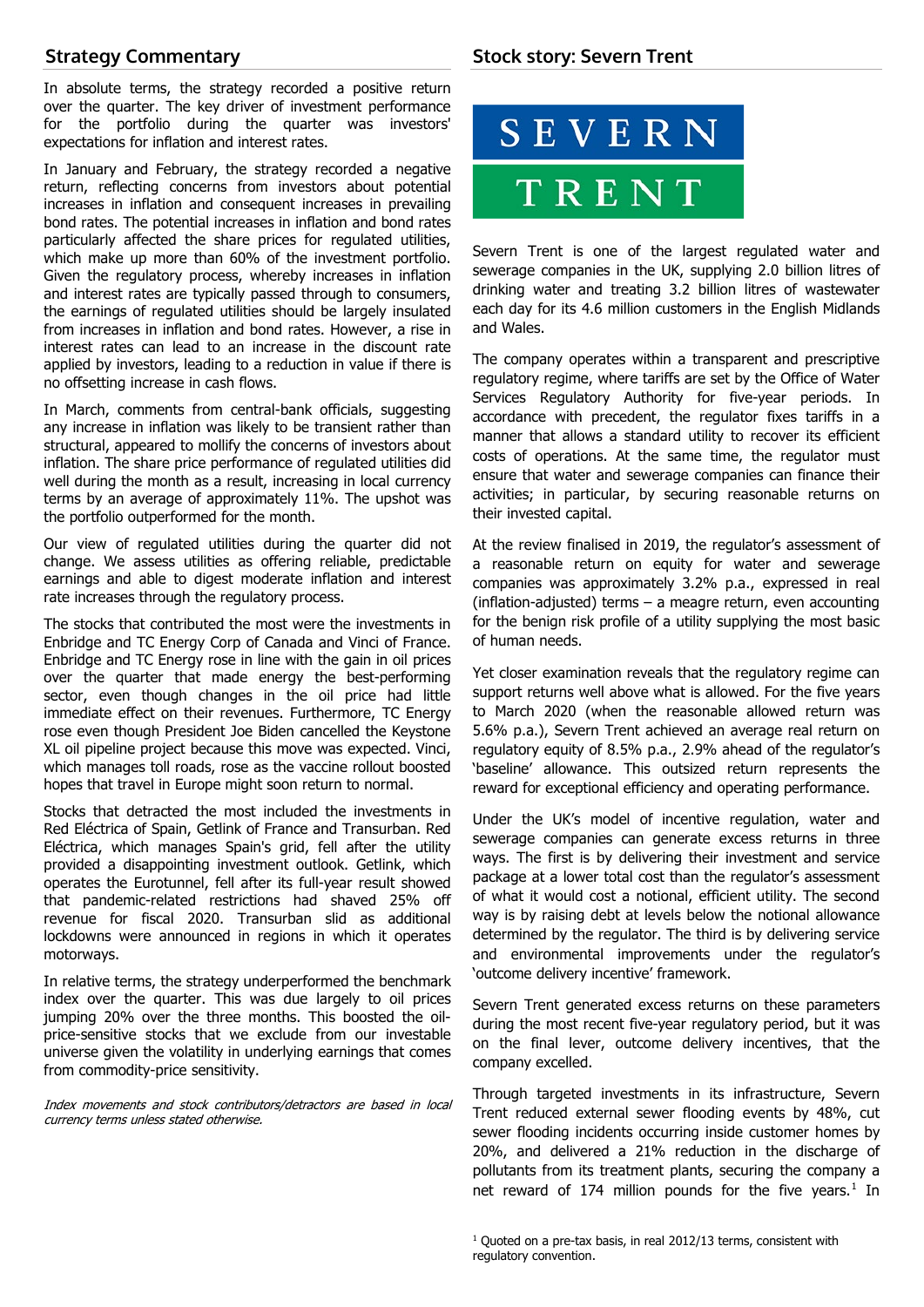# **Strategy Commentary**

In absolute terms, the strategy recorded a positive return over the quarter. The key driver of investment performance for the portfolio during the quarter was investors' expectations for inflation and interest rates.

In January and February, the strategy recorded a negative return, reflecting concerns from investors about potential increases in inflation and consequent increases in prevailing bond rates. The potential increases in inflation and bond rates particularly affected the share prices for regulated utilities, which make up more than 60% of the investment portfolio. Given the regulatory process, whereby increases in inflation and interest rates are typically passed through to consumers, the earnings of regulated utilities should be largely insulated from increases in inflation and bond rates. However, a rise in interest rates can lead to an increase in the discount rate applied by investors, leading to a reduction in value if there is no offsetting increase in cash flows.

In March, comments from central-bank officials, suggesting any increase in inflation was likely to be transient rather than structural, appeared to mollify the concerns of investors about inflation. The share price performance of regulated utilities did well during the month as a result, increasing in local currency terms by an average of approximately 11%. The upshot was the portfolio outperformed for the month.

Our view of regulated utilities during the quarter did not change. We assess utilities as offering reliable, predictable earnings and able to digest moderate inflation and interest rate increases through the regulatory process.

The stocks that contributed the most were the investments in Enbridge and TC Energy Corp of Canada and Vinci of France. Enbridge and TC Energy rose in line with the gain in oil prices over the quarter that made energy the best-performing sector, even though changes in the oil price had little immediate effect on their revenues. Furthermore, TC Energy rose even though President Joe Biden cancelled the Keystone XL oil pipeline project because this move was expected. Vinci, which manages toll roads, rose as the vaccine rollout boosted hopes that travel in Europe might soon return to normal.

Stocks that detracted the most included the investments in Red Eléctrica of Spain, Getlink of France and Transurban. Red Eléctrica, which manages Spain's grid, fell after the utility provided a disappointing investment outlook. Getlink, which operates the Eurotunnel, fell after its full-year result showed that pandemic-related restrictions had shaved 25% off revenue for fiscal 2020. Transurban slid as additional lockdowns were announced in regions in which it operates motorways.

In relative terms, the strategy underperformed the benchmark index over the quarter. This was due largely to oil prices jumping 20% over the three months. This boosted the oilprice-sensitive stocks that we exclude from our investable universe given the volatility in underlying earnings that comes from commodity-price sensitivity.

<span id="page-1-0"></span>Index movements and stock contributors/detractors are based in local currency terms unless stated otherwise.



Severn Trent is one of the largest regulated water and sewerage companies in the UK, supplying 2.0 billion litres of drinking water and treating 3.2 billion litres of wastewater each day for its 4.6 million customers in the English Midlands and Wales.

The company operates within a transparent and prescriptive regulatory regime, where tariffs are set by the Office of Water Services Regulatory Authority for five-year periods. In accordance with precedent, the regulator fixes tariffs in a manner that allows a standard utility to recover its efficient costs of operations. At the same time, the regulator must ensure that water and sewerage companies can finance their activities; in particular, by securing reasonable returns on their invested capital.

At the review finalised in 2019, the regulator's assessment of a reasonable return on equity for water and sewerage companies was approximately 3.2% p.a., expressed in real (inflation-adjusted) terms – a meagre return, even accounting for the benign risk profile of a utility supplying the most basic of human needs.

Yet closer examination reveals that the regulatory regime can support returns well above what is allowed. For the five years to March 2020 (when the reasonable allowed return was 5.6% p.a.), Severn Trent achieved an average real return on regulatory equity of 8.5% p.a., 2.9% ahead of the regulator's 'baseline' allowance. This outsized return represents the reward for exceptional efficiency and operating performance.

Under the UK's model of incentive regulation, water and sewerage companies can generate excess returns in three ways. The first is by delivering their investment and service package at a lower total cost than the regulator's assessment of what it would cost a notional, efficient utility. The second way is by raising debt at levels below the notional allowance determined by the regulator. The third is by delivering service and environmental improvements under the regulator's 'outcome delivery incentive' framework.

Severn Trent generated excess returns on these parameters during the most recent five-year regulatory period, but it was on the final lever, outcome delivery incentives, that the company excelled.

Through targeted investments in its infrastructure, Severn Trent reduced external sewer flooding events by 48%, cut sewer flooding incidents occurring inside customer homes by 20%, and delivered a 21% reduction in the discharge of pollutants from its treatment plants, securing the company a net reward of [1](#page-1-0)74 million pounds for the five years. $1$  In

 $1$  Quoted on a pre-tax basis, in real 2012/13 terms, consistent with regulatory convention.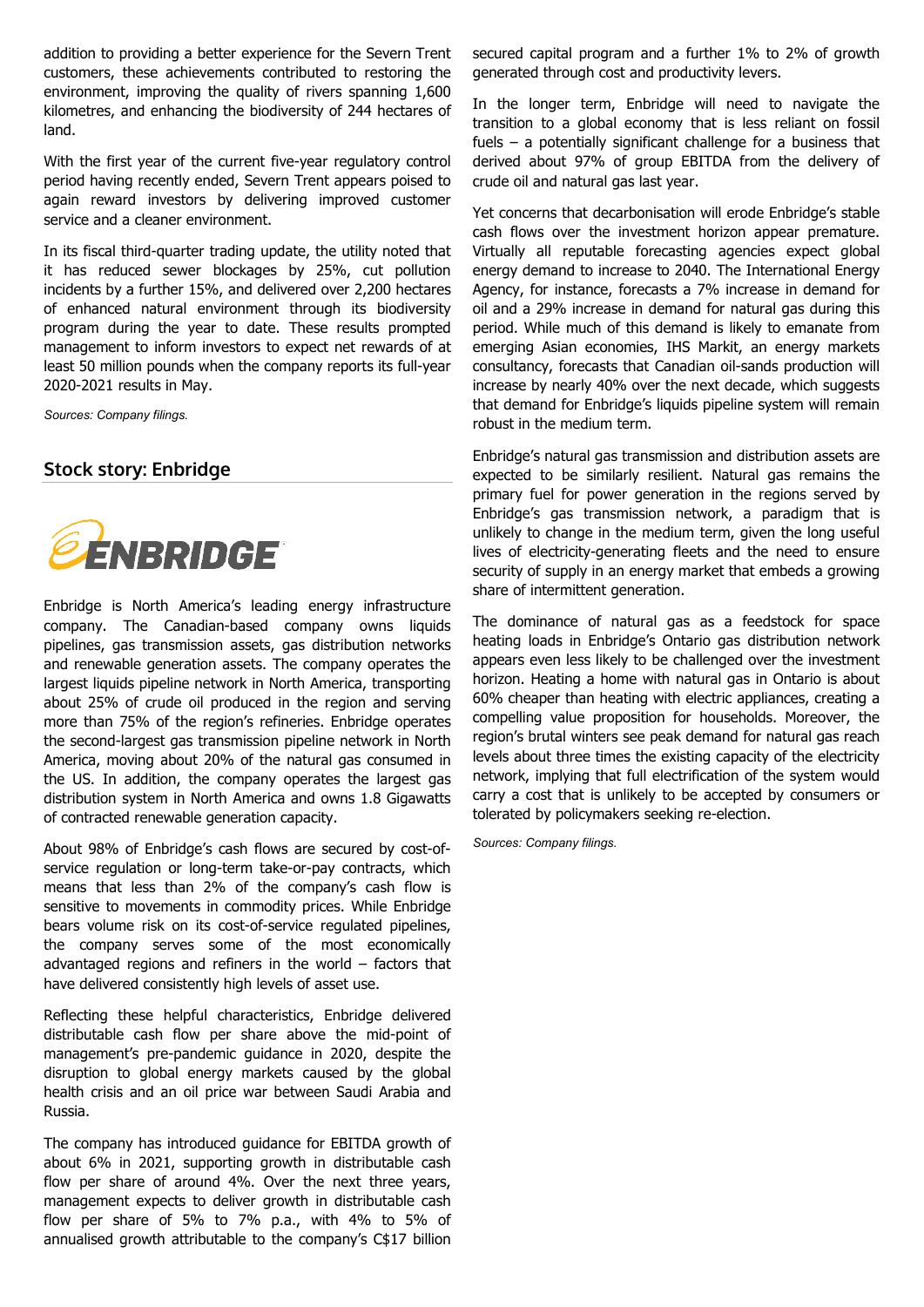addition to providing a better experience for the Severn Trent customers, these achievements contributed to restoring the environment, improving the quality of rivers spanning 1,600 kilometres, and enhancing the biodiversity of 244 hectares of land.

With the first year of the current five-year regulatory control period having recently ended, Severn Trent appears poised to again reward investors by delivering improved customer service and a cleaner environment.

In its fiscal third-quarter trading update, the utility noted that it has reduced sewer blockages by 25%, cut pollution incidents by a further 15%, and delivered over 2,200 hectares of enhanced natural environment through its biodiversity program during the year to date. These results prompted management to inform investors to expect net rewards of at least 50 million pounds when the company reports its full-year 2020-2021 results in May.

*Sources: Company filings.*

# **Stock story: Enbridge**



Enbridge is North America's leading energy infrastructure company. The Canadian-based company owns liquids pipelines, gas transmission assets, gas distribution networks and renewable generation assets. The company operates the largest liquids pipeline network in North America, transporting about 25% of crude oil produced in the region and serving more than 75% of the region's refineries. Enbridge operates the second-largest gas transmission pipeline network in North America, moving about 20% of the natural gas consumed in the US. In addition, the company operates the largest gas distribution system in North America and owns 1.8 Gigawatts of contracted renewable generation capacity.

About 98% of Enbridge's cash flows are secured by cost-ofservice regulation or long-term take-or-pay contracts, which means that less than 2% of the company's cash flow is sensitive to movements in commodity prices. While Enbridge bears volume risk on its cost-of-service regulated pipelines, the company serves some of the most economically advantaged regions and refiners in the world – factors that have delivered consistently high levels of asset use.

Reflecting these helpful characteristics, Enbridge delivered distributable cash flow per share above the mid-point of management's pre-pandemic guidance in 2020, despite the disruption to global energy markets caused by the global health crisis and an oil price war between Saudi Arabia and Russia.

The company has introduced guidance for EBITDA growth of about 6% in 2021, supporting growth in distributable cash flow per share of around 4%. Over the next three years, management expects to deliver growth in distributable cash flow per share of 5% to 7% p.a., with 4% to 5% of annualised growth attributable to the company's C\$17 billion

secured capital program and a further 1% to 2% of growth generated through cost and productivity levers.

In the longer term, Enbridge will need to navigate the transition to a global economy that is less reliant on fossil fuels – a potentially significant challenge for a business that derived about 97% of group EBITDA from the delivery of crude oil and natural gas last year.

Yet concerns that decarbonisation will erode Enbridge's stable cash flows over the investment horizon appear premature. Virtually all reputable forecasting agencies expect global energy demand to increase to 2040. The International Energy Agency, for instance, forecasts a 7% increase in demand for oil and a 29% increase in demand for natural gas during this period. While much of this demand is likely to emanate from emerging Asian economies, IHS Markit, an energy markets consultancy, forecasts that Canadian oil-sands production will increase by nearly 40% over the next decade, which suggests that demand for Enbridge's liquids pipeline system will remain robust in the medium term.

Enbridge's natural gas transmission and distribution assets are expected to be similarly resilient. Natural gas remains the primary fuel for power generation in the regions served by Enbridge's gas transmission network, a paradigm that is unlikely to change in the medium term, given the long useful lives of electricity-generating fleets and the need to ensure security of supply in an energy market that embeds a growing share of intermittent generation.

The dominance of natural gas as a feedstock for space heating loads in Enbridge's Ontario gas distribution network appears even less likely to be challenged over the investment horizon. Heating a home with natural gas in Ontario is about 60% cheaper than heating with electric appliances, creating a compelling value proposition for households. Moreover, the region's brutal winters see peak demand for natural gas reach levels about three times the existing capacity of the electricity network, implying that full electrification of the system would carry a cost that is unlikely to be accepted by consumers or tolerated by policymakers seeking re-election.

*Sources: Company filings.*